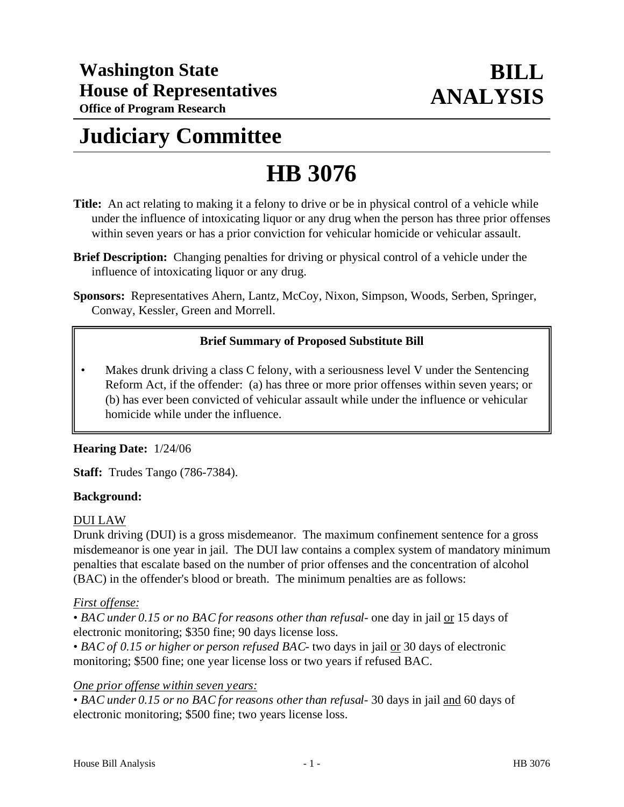# **Judiciary Committee**

# **HB 3076**

- **Title:** An act relating to making it a felony to drive or be in physical control of a vehicle while under the influence of intoxicating liquor or any drug when the person has three prior offenses within seven years or has a prior conviction for vehicular homicide or vehicular assault.
- **Brief Description:** Changing penalties for driving or physical control of a vehicle under the influence of intoxicating liquor or any drug.
- **Sponsors:** Representatives Ahern, Lantz, McCoy, Nixon, Simpson, Woods, Serben, Springer, Conway, Kessler, Green and Morrell.

## **Brief Summary of Proposed Substitute Bill**

Makes drunk driving a class C felony, with a seriousness level V under the Sentencing Reform Act, if the offender: (a) has three or more prior offenses within seven years; or (b) has ever been convicted of vehicular assault while under the influence or vehicular homicide while under the influence.

### **Hearing Date:** 1/24/06

**Staff:** Trudes Tango (786-7384).

#### **Background:**

#### DUI LAW

Drunk driving (DUI) is a gross misdemeanor. The maximum confinement sentence for a gross misdemeanor is one year in jail. The DUI law contains a complex system of mandatory minimum penalties that escalate based on the number of prior offenses and the concentration of alcohol (BAC) in the offender's blood or breath. The minimum penalties are as follows:

#### *First offense:*

• *BAC under 0.15 or no BAC for reasons other than refusal*- one day in jail or 15 days of electronic monitoring; \$350 fine; 90 days license loss.

• *BAC of 0.15 or higher or person refused BAC*- two days in jail or 30 days of electronic monitoring; \$500 fine; one year license loss or two years if refused BAC.

#### *One prior offense within seven years:*

• *BAC under 0.15 or no BAC for reasons other than refusal-* 30 days in jail and 60 days of electronic monitoring; \$500 fine; two years license loss.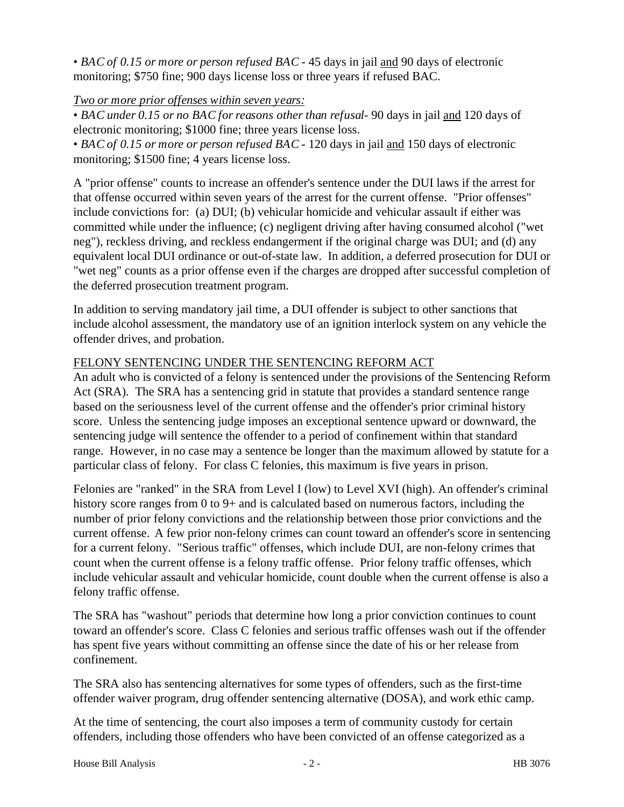• *BAC of 0.15 or more or person refused BAC* - 45 days in jail and 90 days of electronic monitoring; \$750 fine; 900 days license loss or three years if refused BAC.

#### *Two or more prior offenses within seven years:*

• *BAC under 0.15 or no BAC for reasons other than refusal*- 90 days in jail and 120 days of electronic monitoring; \$1000 fine; three years license loss.

• *BAC of 0.15 or more or person refused BAC* - 120 days in jail and 150 days of electronic monitoring; \$1500 fine; 4 years license loss.

A "prior offense" counts to increase an offender's sentence under the DUI laws if the arrest for that offense occurred within seven years of the arrest for the current offense. "Prior offenses" include convictions for: (a) DUI; (b) vehicular homicide and vehicular assault if either was committed while under the influence; (c) negligent driving after having consumed alcohol ("wet neg"), reckless driving, and reckless endangerment if the original charge was DUI; and (d) any equivalent local DUI ordinance or out-of-state law. In addition, a deferred prosecution for DUI or "wet neg" counts as a prior offense even if the charges are dropped after successful completion of the deferred prosecution treatment program.

In addition to serving mandatory jail time, a DUI offender is subject to other sanctions that include alcohol assessment, the mandatory use of an ignition interlock system on any vehicle the offender drives, and probation.

#### FELONY SENTENCING UNDER THE SENTENCING REFORM ACT

An adult who is convicted of a felony is sentenced under the provisions of the Sentencing Reform Act (SRA). The SRA has a sentencing grid in statute that provides a standard sentence range based on the seriousness level of the current offense and the offender's prior criminal history score. Unless the sentencing judge imposes an exceptional sentence upward or downward, the sentencing judge will sentence the offender to a period of confinement within that standard range. However, in no case may a sentence be longer than the maximum allowed by statute for a particular class of felony. For class C felonies, this maximum is five years in prison.

Felonies are "ranked" in the SRA from Level I (low) to Level XVI (high). An offender's criminal history score ranges from 0 to 9+ and is calculated based on numerous factors, including the number of prior felony convictions and the relationship between those prior convictions and the current offense. A few prior non-felony crimes can count toward an offender's score in sentencing for a current felony. "Serious traffic" offenses, which include DUI, are non-felony crimes that count when the current offense is a felony traffic offense. Prior felony traffic offenses, which include vehicular assault and vehicular homicide, count double when the current offense is also a felony traffic offense.

The SRA has "washout" periods that determine how long a prior conviction continues to count toward an offender's score. Class C felonies and serious traffic offenses wash out if the offender has spent five years without committing an offense since the date of his or her release from confinement.

The SRA also has sentencing alternatives for some types of offenders, such as the first-time offender waiver program, drug offender sentencing alternative (DOSA), and work ethic camp.

At the time of sentencing, the court also imposes a term of community custody for certain offenders, including those offenders who have been convicted of an offense categorized as a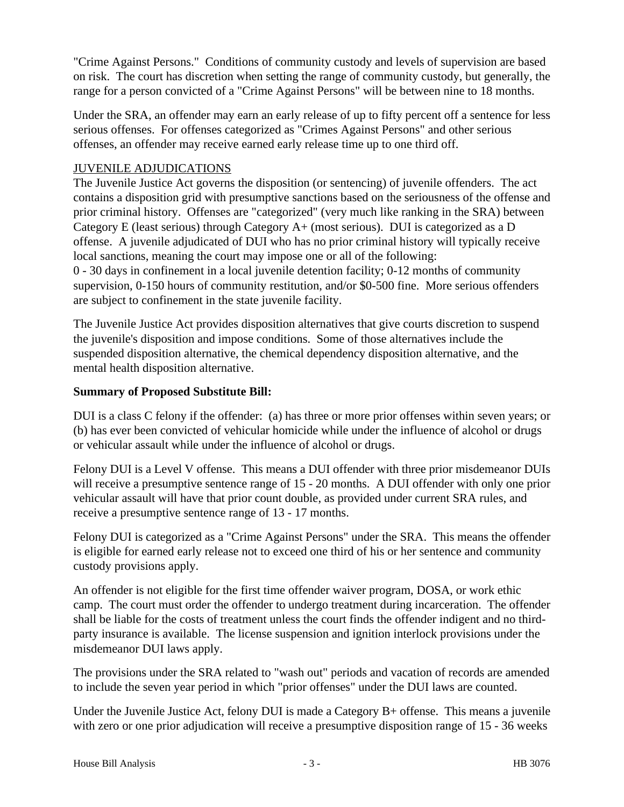"Crime Against Persons." Conditions of community custody and levels of supervision are based on risk. The court has discretion when setting the range of community custody, but generally, the range for a person convicted of a "Crime Against Persons" will be between nine to 18 months.

Under the SRA, an offender may earn an early release of up to fifty percent off a sentence for less serious offenses. For offenses categorized as "Crimes Against Persons" and other serious offenses, an offender may receive earned early release time up to one third off.

#### JUVENILE ADJUDICATIONS

The Juvenile Justice Act governs the disposition (or sentencing) of juvenile offenders. The act contains a disposition grid with presumptive sanctions based on the seriousness of the offense and prior criminal history. Offenses are "categorized" (very much like ranking in the SRA) between Category E (least serious) through Category A+ (most serious). DUI is categorized as a D offense. A juvenile adjudicated of DUI who has no prior criminal history will typically receive local sanctions, meaning the court may impose one or all of the following: 0 - 30 days in confinement in a local juvenile detention facility; 0-12 months of community supervision, 0-150 hours of community restitution, and/or \$0-500 fine. More serious offenders are subject to confinement in the state juvenile facility.

The Juvenile Justice Act provides disposition alternatives that give courts discretion to suspend the juvenile's disposition and impose conditions. Some of those alternatives include the suspended disposition alternative, the chemical dependency disposition alternative, and the mental health disposition alternative.

#### **Summary of Proposed Substitute Bill:**

DUI is a class C felony if the offender: (a) has three or more prior offenses within seven years; or (b) has ever been convicted of vehicular homicide while under the influence of alcohol or drugs or vehicular assault while under the influence of alcohol or drugs.

Felony DUI is a Level V offense. This means a DUI offender with three prior misdemeanor DUIs will receive a presumptive sentence range of 15 - 20 months. A DUI offender with only one prior vehicular assault will have that prior count double, as provided under current SRA rules, and receive a presumptive sentence range of 13 - 17 months.

Felony DUI is categorized as a "Crime Against Persons" under the SRA. This means the offender is eligible for earned early release not to exceed one third of his or her sentence and community custody provisions apply.

An offender is not eligible for the first time offender waiver program, DOSA, or work ethic camp. The court must order the offender to undergo treatment during incarceration. The offender shall be liable for the costs of treatment unless the court finds the offender indigent and no thirdparty insurance is available. The license suspension and ignition interlock provisions under the misdemeanor DUI laws apply.

The provisions under the SRA related to "wash out" periods and vacation of records are amended to include the seven year period in which "prior offenses" under the DUI laws are counted.

Under the Juvenile Justice Act, felony DUI is made a Category B+ offense. This means a juvenile with zero or one prior adjudication will receive a presumptive disposition range of 15 - 36 weeks